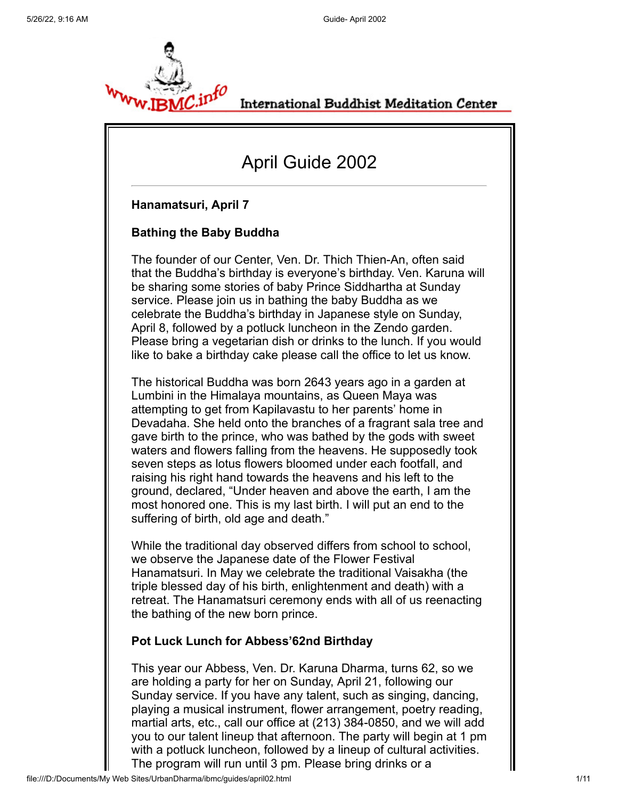

International Buddhist Meditation Center

# April Guide 2002

### **Hanamatsuri, April 7**

### **Bathing the Baby Buddha**

The founder of our Center, Ven. Dr. Thich Thien-An, often said that the Buddha's birthday is everyone's birthday. Ven. Karuna will be sharing some stories of baby Prince Siddhartha at Sunday service. Please join us in bathing the baby Buddha as we celebrate the Buddha's birthday in Japanese style on Sunday, April 8, followed by a potluck luncheon in the Zendo garden. Please bring a vegetarian dish or drinks to the lunch. If you would like to bake a birthday cake please call the office to let us know.

The historical Buddha was born 2643 years ago in a garden at Lumbini in the Himalaya mountains, as Queen Maya was attempting to get from Kapilavastu to her parents' home in Devadaha. She held onto the branches of a fragrant sala tree and gave birth to the prince, who was bathed by the gods with sweet waters and flowers falling from the heavens. He supposedly took seven steps as lotus flowers bloomed under each footfall, and raising his right hand towards the heavens and his left to the ground, declared, "Under heaven and above the earth, I am the most honored one. This is my last birth. I will put an end to the suffering of birth, old age and death."

While the traditional day observed differs from school to school, we observe the Japanese date of the Flower Festival Hanamatsuri. In May we celebrate the traditional Vaisakha (the triple blessed day of his birth, enlightenment and death) with a retreat. The Hanamatsuri ceremony ends with all of us reenacting the bathing of the new born prince.

### **Pot Luck Lunch for Abbess'62nd Birthday**

This year our Abbess, Ven. Dr. Karuna Dharma, turns 62, so we are holding a party for her on Sunday, April 21, following our Sunday service. If you have any talent, such as singing, dancing, playing a musical instrument, flower arrangement, poetry reading, martial arts, etc., call our office at (213) 384-0850, and we will add you to our talent lineup that afternoon. The party will begin at 1 pm with a potluck luncheon, followed by a lineup of cultural activities. The program will run until 3 pm. Please bring drinks or a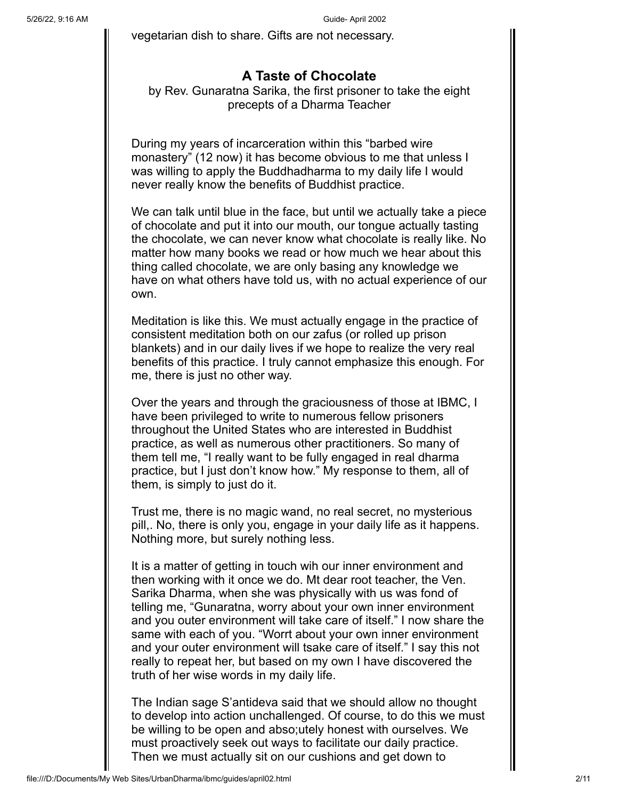vegetarian dish to share. Gifts are not necessary.

## **A Taste of Chocolate**

by Rev. Gunaratna Sarika, the first prisoner to take the eight precepts of a Dharma Teacher

During my years of incarceration within this "barbed wire monastery" (12 now) it has become obvious to me that unless I was willing to apply the Buddhadharma to my daily life I would never really know the benefits of Buddhist practice.

We can talk until blue in the face, but until we actually take a piece of chocolate and put it into our mouth, our tongue actually tasting the chocolate, we can never know what chocolate is really like. No matter how many books we read or how much we hear about this thing called chocolate, we are only basing any knowledge we have on what others have told us, with no actual experience of our own.

Meditation is like this. We must actually engage in the practice of consistent meditation both on our zafus (or rolled up prison blankets) and in our daily lives if we hope to realize the very real benefits of this practice. I truly cannot emphasize this enough. For me, there is just no other way.

Over the years and through the graciousness of those at IBMC, I have been privileged to write to numerous fellow prisoners throughout the United States who are interested in Buddhist practice, as well as numerous other practitioners. So many of them tell me, "I really want to be fully engaged in real dharma practice, but I just don't know how." My response to them, all of them, is simply to just do it.

Trust me, there is no magic wand, no real secret, no mysterious pill,. No, there is only you, engage in your daily life as it happens. Nothing more, but surely nothing less.

It is a matter of getting in touch wih our inner environment and then working with it once we do. Mt dear root teacher, the Ven. Sarika Dharma, when she was physically with us was fond of telling me, "Gunaratna, worry about your own inner environment and you outer environment will take care of itself." I now share the same with each of you. "Worrt about your own inner environment and your outer environment will tsake care of itself." I say this not really to repeat her, but based on my own I have discovered the truth of her wise words in my daily life.

The Indian sage S'antideva said that we should allow no thought to develop into action unchallenged. Of course, to do this we must be willing to be open and abso;utely honest with ourselves. We must proactively seek out ways to facilitate our daily practice. Then we must actually sit on our cushions and get down to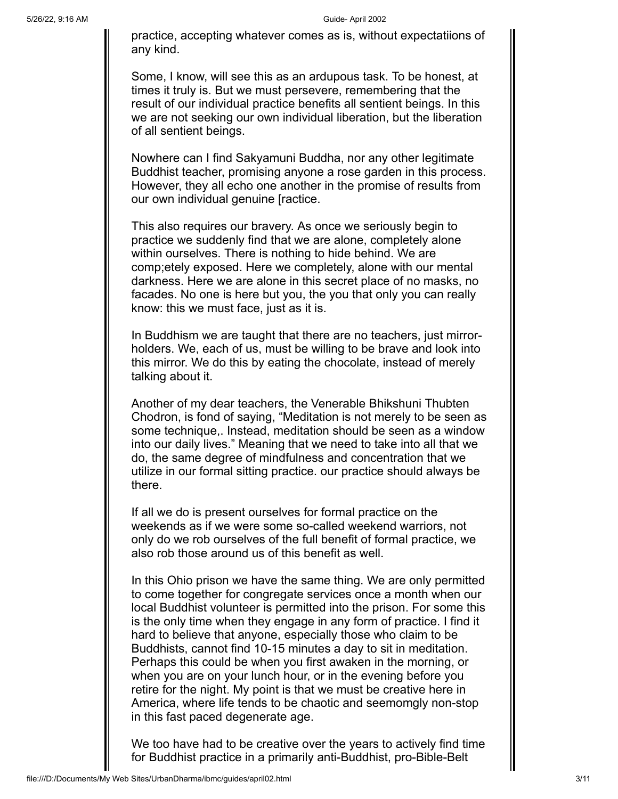practice, accepting whatever comes as is, without expectatiions of any kind.

Some, I know, will see this as an ardupous task. To be honest, at times it truly is. But we must persevere, remembering that the result of our individual practice benefits all sentient beings. In this we are not seeking our own individual liberation, but the liberation of all sentient beings.

Nowhere can I find Sakyamuni Buddha, nor any other legitimate Buddhist teacher, promising anyone a rose garden in this process. However, they all echo one another in the promise of results from our own individual genuine [ractice.

This also requires our bravery. As once we seriously begin to practice we suddenly find that we are alone, completely alone within ourselves. There is nothing to hide behind. We are comp;etely exposed. Here we completely, alone with our mental darkness. Here we are alone in this secret place of no masks, no facades. No one is here but you, the you that only you can really know: this we must face, just as it is.

In Buddhism we are taught that there are no teachers, just mirrorholders. We, each of us, must be willing to be brave and look into this mirror. We do this by eating the chocolate, instead of merely talking about it.

Another of my dear teachers, the Venerable Bhikshuni Thubten Chodron, is fond of saying, "Meditation is not merely to be seen as some technique,. Instead, meditation should be seen as a window into our daily lives." Meaning that we need to take into all that we do, the same degree of mindfulness and concentration that we utilize in our formal sitting practice. our practice should always be there.

If all we do is present ourselves for formal practice on the weekends as if we were some so-called weekend warriors, not only do we rob ourselves of the full benefit of formal practice, we also rob those around us of this benefit as well.

In this Ohio prison we have the same thing. We are only permitted to come together for congregate services once a month when our local Buddhist volunteer is permitted into the prison. For some this is the only time when they engage in any form of practice. I find it hard to believe that anyone, especially those who claim to be Buddhists, cannot find 10-15 minutes a day to sit in meditation. Perhaps this could be when you first awaken in the morning, or when you are on your lunch hour, or in the evening before you retire for the night. My point is that we must be creative here in America, where life tends to be chaotic and seemomgly non-stop in this fast paced degenerate age.

We too have had to be creative over the years to actively find time for Buddhist practice in a primarily anti-Buddhist, pro-Bible-Belt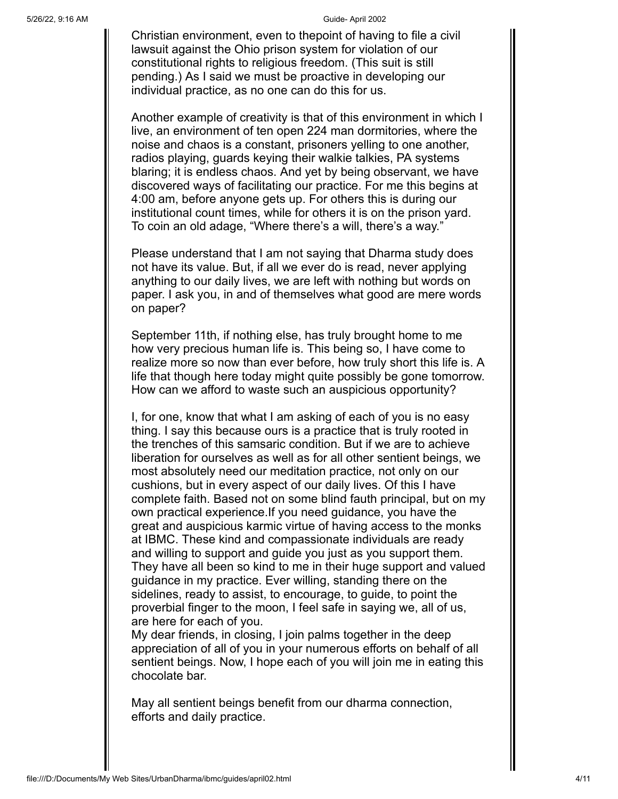Christian environment, even to thepoint of having to file a civil lawsuit against the Ohio prison system for violation of our constitutional rights to religious freedom. (This suit is still pending.) As I said we must be proactive in developing our individual practice, as no one can do this for us.

Another example of creativity is that of this environment in which I live, an environment of ten open 224 man dormitories, where the noise and chaos is a constant, prisoners yelling to one another, radios playing, guards keying their walkie talkies, PA systems blaring; it is endless chaos. And yet by being observant, we have discovered ways of facilitating our practice. For me this begins at 4:00 am, before anyone gets up. For others this is during our institutional count times, while for others it is on the prison yard. To coin an old adage, "Where there's a will, there's a way."

Please understand that I am not saying that Dharma study does not have its value. But, if all we ever do is read, never applying anything to our daily lives, we are left with nothing but words on paper. I ask you, in and of themselves what good are mere words on paper?

September 11th, if nothing else, has truly brought home to me how very precious human life is. This being so, I have come to realize more so now than ever before, how truly short this life is. A life that though here today might quite possibly be gone tomorrow. How can we afford to waste such an auspicious opportunity?

I, for one, know that what I am asking of each of you is no easy thing. I say this because ours is a practice that is truly rooted in the trenches of this samsaric condition. But if we are to achieve liberation for ourselves as well as for all other sentient beings, we most absolutely need our meditation practice, not only on our cushions, but in every aspect of our daily lives. Of this I have complete faith. Based not on some blind fauth principal, but on my own practical experience.If you need guidance, you have the great and auspicious karmic virtue of having access to the monks at IBMC. These kind and compassionate individuals are ready and willing to support and guide you just as you support them. They have all been so kind to me in their huge support and valued guidance in my practice. Ever willing, standing there on the sidelines, ready to assist, to encourage, to guide, to point the proverbial finger to the moon, I feel safe in saying we, all of us, are here for each of you.

My dear friends, in closing, I join palms together in the deep appreciation of all of you in your numerous efforts on behalf of all sentient beings. Now, I hope each of you will join me in eating this chocolate bar.

May all sentient beings benefit from our dharma connection, efforts and daily practice.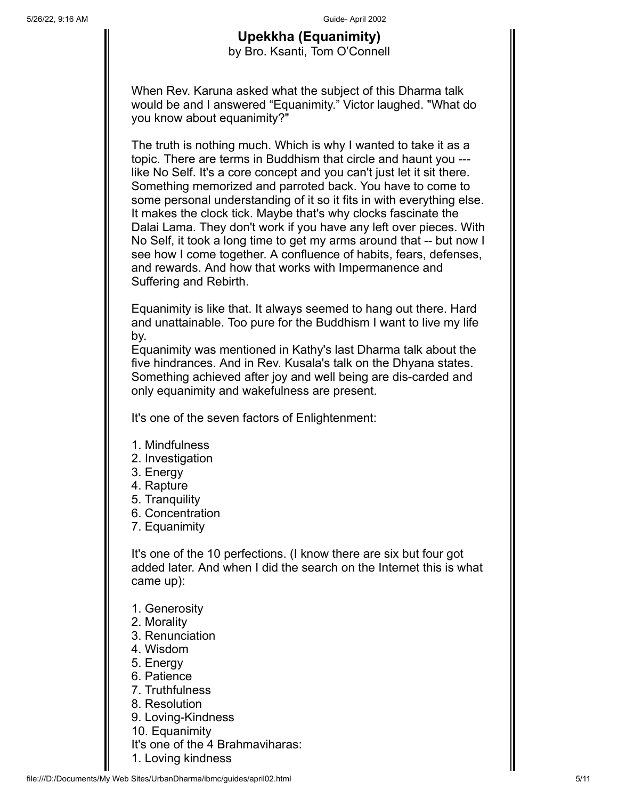### **Upekkha (Equanimity)** by Bro. Ksanti, Tom O'Connell

When Rev. Karuna asked what the subject of this Dharma talk would be and I answered "Equanimity." Victor laughed. "What do you know about equanimity?"

The truth is nothing much. Which is why I wanted to take it as a topic. There are terms in Buddhism that circle and haunt you -- like No Self. It's a core concept and you can't just let it sit there. Something memorized and parroted back. You have to come to some personal understanding of it so it fits in with everything else. It makes the clock tick. Maybe that's why clocks fascinate the Dalai Lama. They don't work if you have any left over pieces. With No Self, it took a long time to get my arms around that -- but now I see how I come together. A confluence of habits, fears, defenses, and rewards. And how that works with Impermanence and Suffering and Rebirth.

Equanimity is like that. It always seemed to hang out there. Hard and unattainable. Too pure for the Buddhism I want to live my life by.

Equanimity was mentioned in Kathy's last Dharma talk about the five hindrances. And in Rev. Kusala's talk on the Dhyana states. Something achieved after joy and well being are dis-carded and only equanimity and wakefulness are present.

It's one of the seven factors of Enlightenment:

- 1. Mindfulness
- 2. Investigation
- 3. Energy
- 4. Rapture
- 5. Tranquility
- 6. Concentration
- 7. Equanimity

It's one of the 10 perfections. (I know there are six but four got added later. And when I did the search on the Internet this is what came up):

- 1. Generosity
- 2. Morality
- 3. Renunciation
- 4. Wisdom
- 5. Energy
- 6. Patience
- 7. Truthfulness
- 8. Resolution
- 9. Loving-Kindness
- 10. Equanimity
- It's one of the 4 Brahmaviharas:
- 1. Loving kindness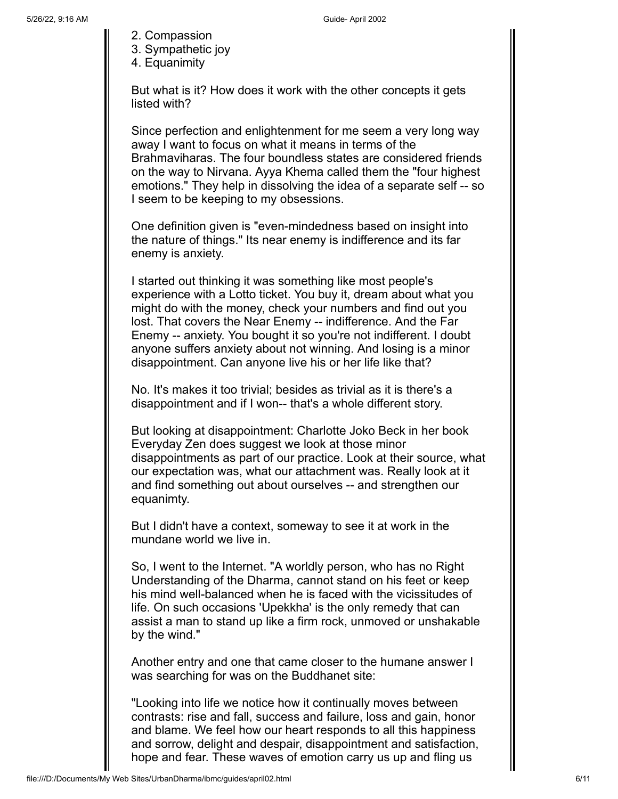- 2. Compassion
- 3. Sympathetic joy
- 4. Equanimity

But what is it? How does it work with the other concepts it gets listed with?

Since perfection and enlightenment for me seem a very long way away I want to focus on what it means in terms of the Brahmaviharas. The four boundless states are considered friends on the way to Nirvana. Ayya Khema called them the "four highest emotions." They help in dissolving the idea of a separate self -- so I seem to be keeping to my obsessions.

One definition given is "even-mindedness based on insight into the nature of things." Its near enemy is indifference and its far enemy is anxiety.

I started out thinking it was something like most people's experience with a Lotto ticket. You buy it, dream about what you might do with the money, check your numbers and find out you lost. That covers the Near Enemy -- indifference. And the Far Enemy -- anxiety. You bought it so you're not indifferent. I doubt anyone suffers anxiety about not winning. And losing is a minor disappointment. Can anyone live his or her life like that?

No. It's makes it too trivial; besides as trivial as it is there's a disappointment and if I won-- that's a whole different story.

But looking at disappointment: Charlotte Joko Beck in her book Everyday Zen does suggest we look at those minor disappointments as part of our practice. Look at their source, what our expectation was, what our attachment was. Really look at it and find something out about ourselves -- and strengthen our equanimty.

But I didn't have a context, someway to see it at work in the mundane world we live in.

So, I went to the Internet. "A worldly person, who has no Right Understanding of the Dharma, cannot stand on his feet or keep his mind well-balanced when he is faced with the vicissitudes of life. On such occasions 'Upekkha' is the only remedy that can assist a man to stand up like a firm rock, unmoved or unshakable by the wind."

Another entry and one that came closer to the humane answer I was searching for was on the Buddhanet site:

"Looking into life we notice how it continually moves between contrasts: rise and fall, success and failure, loss and gain, honor and blame. We feel how our heart responds to all this happiness and sorrow, delight and despair, disappointment and satisfaction, hope and fear. These waves of emotion carry us up and fling us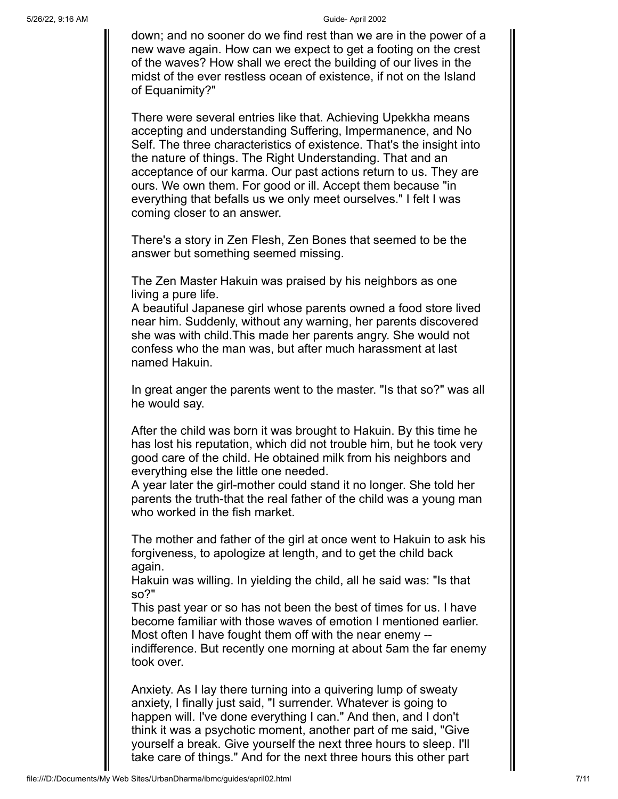down; and no sooner do we find rest than we are in the power of a new wave again. How can we expect to get a footing on the crest of the waves? How shall we erect the building of our lives in the midst of the ever restless ocean of existence, if not on the Island of Equanimity?"

There were several entries like that. Achieving Upekkha means accepting and understanding Suffering, Impermanence, and No Self. The three characteristics of existence. That's the insight into the nature of things. The Right Understanding. That and an acceptance of our karma. Our past actions return to us. They are ours. We own them. For good or ill. Accept them because "in everything that befalls us we only meet ourselves." I felt I was coming closer to an answer.

There's a story in Zen Flesh, Zen Bones that seemed to be the answer but something seemed missing.

The Zen Master Hakuin was praised by his neighbors as one living a pure life.

A beautiful Japanese girl whose parents owned a food store lived near him. Suddenly, without any warning, her parents discovered she was with child.This made her parents angry. She would not confess who the man was, but after much harassment at last named Hakuin.

In great anger the parents went to the master. "Is that so?" was all he would say.

After the child was born it was brought to Hakuin. By this time he has lost his reputation, which did not trouble him, but he took very good care of the child. He obtained milk from his neighbors and everything else the little one needed.

A year later the girl-mother could stand it no longer. She told her parents the truth-that the real father of the child was a young man who worked in the fish market.

The mother and father of the girl at once went to Hakuin to ask his forgiveness, to apologize at length, and to get the child back again.

Hakuin was willing. In yielding the child, all he said was: "Is that so?"

This past year or so has not been the best of times for us. I have become familiar with those waves of emotion I mentioned earlier. Most often I have fought them off with the near enemy - indifference. But recently one morning at about 5am the far enemy took over.

Anxiety. As I lay there turning into a quivering lump of sweaty anxiety, I finally just said, "I surrender. Whatever is going to happen will. I've done everything I can." And then, and I don't think it was a psychotic moment, another part of me said, "Give yourself a break. Give yourself the next three hours to sleep. I'll take care of things." And for the next three hours this other part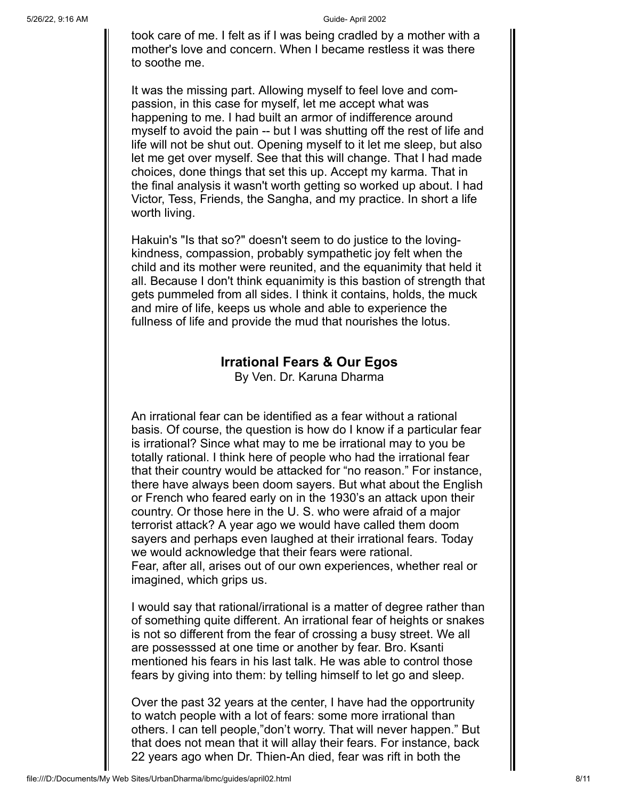took care of me. I felt as if I was being cradled by a mother with a mother's love and concern. When I became restless it was there to soothe me.

It was the missing part. Allowing myself to feel love and compassion, in this case for myself, let me accept what was happening to me. I had built an armor of indifference around myself to avoid the pain -- but I was shutting off the rest of life and life will not be shut out. Opening myself to it let me sleep, but also let me get over myself. See that this will change. That I had made choices, done things that set this up. Accept my karma. That in the final analysis it wasn't worth getting so worked up about. I had Victor, Tess, Friends, the Sangha, and my practice. In short a life worth living.

Hakuin's "Is that so?" doesn't seem to do justice to the lovingkindness, compassion, probably sympathetic joy felt when the child and its mother were reunited, and the equanimity that held it all. Because I don't think equanimity is this bastion of strength that gets pummeled from all sides. I think it contains, holds, the muck and mire of life, keeps us whole and able to experience the fullness of life and provide the mud that nourishes the lotus.

### **Irrational Fears & Our Egos**

By Ven. Dr. Karuna Dharma

An irrational fear can be identified as a fear without a rational basis. Of course, the question is how do I know if a particular fear is irrational? Since what may to me be irrational may to you be totally rational. I think here of people who had the irrational fear that their country would be attacked for "no reason." For instance, there have always been doom sayers. But what about the English or French who feared early on in the 1930's an attack upon their country. Or those here in the U. S. who were afraid of a major terrorist attack? A year ago we would have called them doom sayers and perhaps even laughed at their irrational fears. Today we would acknowledge that their fears were rational. Fear, after all, arises out of our own experiences, whether real or imagined, which grips us.

I would say that rational/irrational is a matter of degree rather than of something quite different. An irrational fear of heights or snakes is not so different from the fear of crossing a busy street. We all are possesssed at one time or another by fear. Bro. Ksanti mentioned his fears in his last talk. He was able to control those fears by giving into them: by telling himself to let go and sleep.

Over the past 32 years at the center, I have had the opportrunity to watch people with a lot of fears: some more irrational than others. I can tell people,"don't worry. That will never happen." But that does not mean that it will allay their fears. For instance, back 22 years ago when Dr. Thien-An died, fear was rift in both the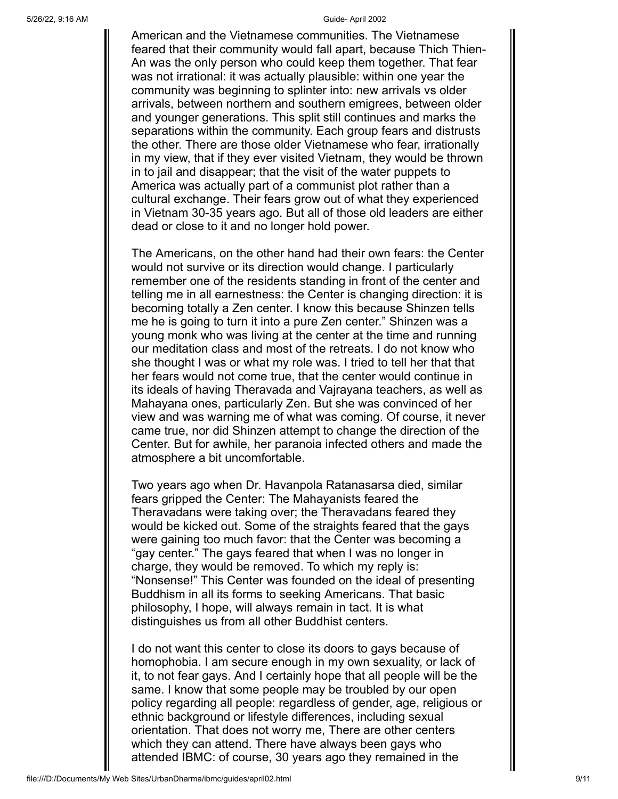American and the Vietnamese communities. The Vietnamese feared that their community would fall apart, because Thich Thien-An was the only person who could keep them together. That fear was not irrational: it was actually plausible: within one year the community was beginning to splinter into: new arrivals vs older arrivals, between northern and southern emigrees, between older and younger generations. This split still continues and marks the separations within the community. Each group fears and distrusts the other. There are those older Vietnamese who fear, irrationally in my view, that if they ever visited Vietnam, they would be thrown in to jail and disappear; that the visit of the water puppets to America was actually part of a communist plot rather than a cultural exchange. Their fears grow out of what they experienced in Vietnam 30-35 years ago. But all of those old leaders are either dead or close to it and no longer hold power.

The Americans, on the other hand had their own fears: the Center would not survive or its direction would change. I particularly remember one of the residents standing in front of the center and telling me in all earnestness: the Center is changing direction: it is becoming totally a Zen center. I know this because Shinzen tells me he is going to turn it into a pure Zen center." Shinzen was a young monk who was living at the center at the time and running our meditation class and most of the retreats. I do not know who she thought I was or what my role was. I tried to tell her that that her fears would not come true, that the center would continue in its ideals of having Theravada and Vajrayana teachers, as well as Mahayana ones, particularly Zen. But she was convinced of her view and was warning me of what was coming. Of course, it never came true, nor did Shinzen attempt to change the direction of the Center. But for awhile, her paranoia infected others and made the atmosphere a bit uncomfortable.

Two years ago when Dr. Havanpola Ratanasarsa died, similar fears gripped the Center: The Mahayanists feared the Theravadans were taking over; the Theravadans feared they would be kicked out. Some of the straights feared that the gays were gaining too much favor: that the Center was becoming a "gay center." The gays feared that when I was no longer in charge, they would be removed. To which my reply is: "Nonsense!" This Center was founded on the ideal of presenting Buddhism in all its forms to seeking Americans. That basic philosophy, I hope, will always remain in tact. It is what distinguishes us from all other Buddhist centers.

I do not want this center to close its doors to gays because of homophobia. I am secure enough in my own sexuality, or lack of it, to not fear gays. And I certainly hope that all people will be the same. I know that some people may be troubled by our open policy regarding all people: regardless of gender, age, religious or ethnic background or lifestyle differences, including sexual orientation. That does not worry me, There are other centers which they can attend. There have always been gays who attended IBMC: of course, 30 years ago they remained in the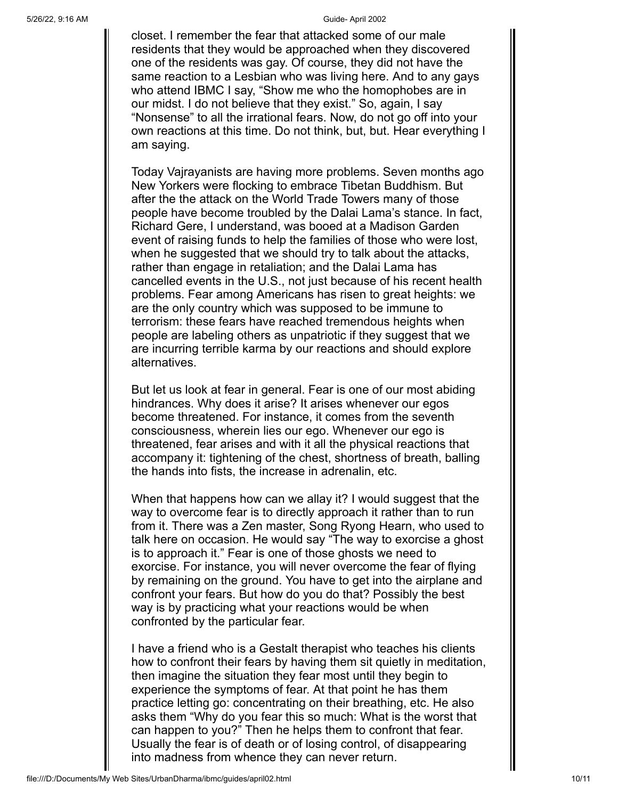closet. I remember the fear that attacked some of our male residents that they would be approached when they discovered one of the residents was gay. Of course, they did not have the same reaction to a Lesbian who was living here. And to any gays who attend IBMC I say, "Show me who the homophobes are in our midst. I do not believe that they exist." So, again, I say "Nonsense" to all the irrational fears. Now, do not go off into your own reactions at this time. Do not think, but, but. Hear everything I am saying.

Today Vajrayanists are having more problems. Seven months ago New Yorkers were flocking to embrace Tibetan Buddhism. But after the the attack on the World Trade Towers many of those people have become troubled by the Dalai Lama's stance. In fact, Richard Gere, I understand, was booed at a Madison Garden event of raising funds to help the families of those who were lost, when he suggested that we should try to talk about the attacks, rather than engage in retaliation; and the Dalai Lama has cancelled events in the U.S., not just because of his recent health problems. Fear among Americans has risen to great heights: we are the only country which was supposed to be immune to terrorism: these fears have reached tremendous heights when people are labeling others as unpatriotic if they suggest that we are incurring terrible karma by our reactions and should explore alternatives.

But let us look at fear in general. Fear is one of our most abiding hindrances. Why does it arise? It arises whenever our egos become threatened. For instance, it comes from the seventh consciousness, wherein lies our ego. Whenever our ego is threatened, fear arises and with it all the physical reactions that accompany it: tightening of the chest, shortness of breath, balling the hands into fists, the increase in adrenalin, etc.

When that happens how can we allay it? I would suggest that the way to overcome fear is to directly approach it rather than to run from it. There was a Zen master, Song Ryong Hearn, who used to talk here on occasion. He would say "The way to exorcise a ghost is to approach it." Fear is one of those ghosts we need to exorcise. For instance, you will never overcome the fear of flying by remaining on the ground. You have to get into the airplane and confront your fears. But how do you do that? Possibly the best way is by practicing what your reactions would be when confronted by the particular fear.

I have a friend who is a Gestalt therapist who teaches his clients how to confront their fears by having them sit quietly in meditation, then imagine the situation they fear most until they begin to experience the symptoms of fear. At that point he has them practice letting go: concentrating on their breathing, etc. He also asks them "Why do you fear this so much: What is the worst that can happen to you?" Then he helps them to confront that fear. Usually the fear is of death or of losing control, of disappearing into madness from whence they can never return.